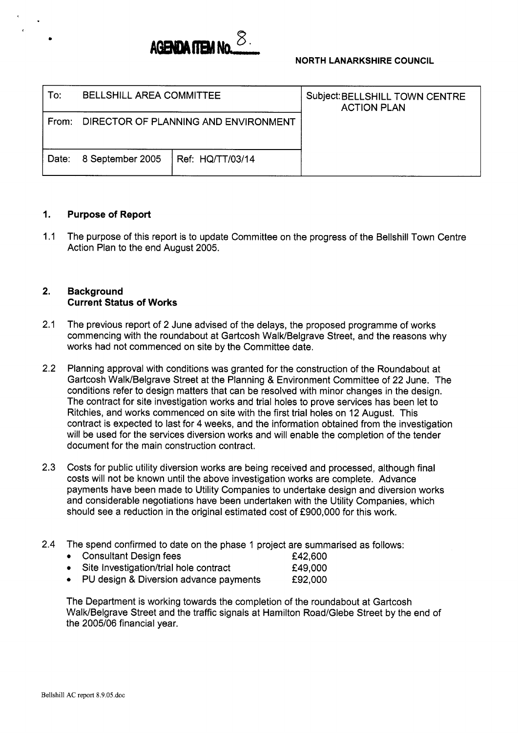

### **NORTH LANARKSHIRE COUNCIL**

| To:   | BELLSHILL AREA COMMITTEE             |                  | Subject: BELLSHILL TOWN CENTRE<br><b>ACTION PLAN</b> |
|-------|--------------------------------------|------------------|------------------------------------------------------|
| From: | DIRECTOR OF PLANNING AND ENVIRONMENT |                  |                                                      |
| Date: | 8 September 2005                     | Ref: HQ/TT/03/14 |                                                      |

#### I. **Purpose of Report**

1.1 The purpose of this report is to update Committee on the progress of the Bellshill Town Centre Action Plan to the end August 2005.

### **2. Background Current Status of Works**

- 2.1 The previous report of 2 June advised of the delays, the proposed programme of works commencing with the roundabout at Gartcosh Walk/Belgrave Street, and the reasons why works had not commenced on site by the Committee date.
- 2.2 Planning approval with conditions was granted for the construction of the Roundabout at Gartcosh Walk/Belgrave Street at the Planning & Environment Committee of 22 June. The conditions refer to design matters that can be resolved with minor changes in the design. The contract for site investigation works and trial holes to prove services has been let to Ritchies, and works commenced on site with the first trial holes on 12 August. This contract is expected to last for 4 weeks, and the information obtained from the investigation will be used for the services diversion works and will enable the completion of the tender document for the main construction contract.
- 2.3 Costs for public utility diversion works are being received and processed, although final costs will not be known until the above investigation works are complete. Advance payments have been made to Utility Companies to undertake design and diversion works and considerable negotiations have been undertaken with the Utility Companies, which should see a reduction in the original estimated cost of £900,000 for this work.
- 2.4 The spend confirmed to date on the phase 1 project are summarised as follows:
	- **0** Consultant Design fees **6** E42,600<br>**1Consultant Design fees f** 49,000
	- Site Investigation/trial hole contract
	- PU design & Diversion advance payments f92,000

The Department is working towards the completion of the roundabout at Gartcosh Walk/Belgrave Street and the traffic signals at Hamilton Road/Glebe Street by the end of the 2005/06 financial year.